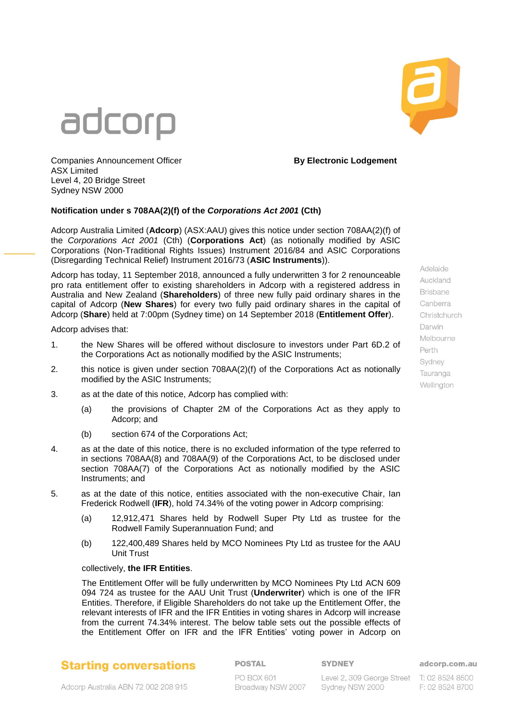



Adelaide Auckland **Rrishane** Canberra Christchurch Darwin Melbourne Perth Sydney Tauranga Wellinaton

**Companies Announcement Officer <b>By Electronic Lodgement** ASX Limited Level 4, 20 Bridge Street Sydney NSW 2000

#### **Notification under s 708AA(2)(f) of the** *Corporations Act 2001* **(Cth)**

Adcorp Australia Limited (**Adcorp**) (ASX:AAU) gives this notice under section 708AA(2)(f) of the *Corporations Act 2001* (Cth) (**Corporations Act**) (as notionally modified by ASIC Corporations (Non-Traditional Rights Issues) Instrument 2016/84 and ASIC Corporations (Disregarding Technical Relief) Instrument 2016/73 (**ASIC Instruments**)).

Adcorp has today, 11 September 2018, announced a fully underwritten 3 for 2 renounceable pro rata entitlement offer to existing shareholders in Adcorp with a registered address in Australia and New Zealand (**Shareholders**) of three new fully paid ordinary shares in the capital of Adcorp (**New Shares**) for every two fully paid ordinary shares in the capital of Adcorp (**Share**) held at 7:00pm (Sydney time) on 14 September 2018 (**Entitlement Offer**).

Adcorp advises that:

- 1. the New Shares will be offered without disclosure to investors under Part 6D.2 of the Corporations Act as notionally modified by the ASIC Instruments;
- 2. this notice is given under section 708AA(2)(f) of the Corporations Act as notionally modified by the ASIC Instruments;
- 3. as at the date of this notice, Adcorp has complied with:
	- (a) the provisions of Chapter 2M of the Corporations Act as they apply to Adcorp; and
	- (b) section 674 of the Corporations Act;
- 4. as at the date of this notice, there is no excluded information of the type referred to in sections 708AA(8) and 708AA(9) of the Corporations Act, to be disclosed under section 708AA(7) of the Corporations Act as notionally modified by the ASIC Instruments; and
- 5. as at the date of this notice, entities associated with the non-executive Chair, Ian Frederick Rodwell (**IFR**), hold 74.34% of the voting power in Adcorp comprising:
	- (a) 12,912,471 Shares held by Rodwell Super Pty Ltd as trustee for the Rodwell Family Superannuation Fund; and
	- (b) 122,400,489 Shares held by MCO Nominees Pty Ltd as trustee for the AAU Unit Trust

#### collectively, **the IFR Entities**.

The Entitlement Offer will be fully underwritten by MCO Nominees Pty Ltd ACN 609 094 724 as trustee for the AAU Unit Trust (**Underwriter**) which is one of the IFR Entities. Therefore, if Eligible Shareholders do not take up the Entitlement Offer, the relevant interests of IFR and the IFR Entities in voting shares in Adcorp will increase from the current 74.34% interest. The below table sets out the possible effects of the Entitlement Offer on IFR and the IFR Entities' voting power in Adcorp on

## **Starting conversations**

### **POSTAL**

#### **SYDNEY**

Level 2, 309 George Street T: 02 8524 8500 Sydney NSW 2000

adcorp.com.au

F: 02 8524 8700

Adcorp Australia ABN 72 002 208 915